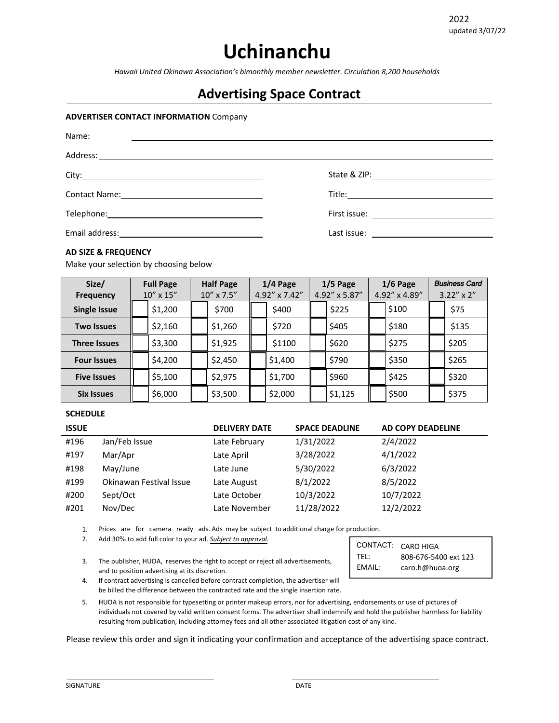# **Uchinanchu**

*Hawaii United Okinawa Association's bimonthly member newsletter. Circulation 8,200 households*

### **Advertising Space Contract**

#### **ADVERTISER CONTACT INFORMATION** Company

| Name: |                                                |
|-------|------------------------------------------------|
|       |                                                |
|       |                                                |
|       |                                                |
|       | First issue: <u>__________________________</u> |
|       |                                                |

#### **AD SIZE & FREQUENCY**

Make your selection by choosing below

| Size/               | <b>Full Page</b>   | <b>Half Page</b> | $1/4$ Page             | $1/5$ Page    | $1/6$ Page    | <b>Business Card</b> |
|---------------------|--------------------|------------------|------------------------|---------------|---------------|----------------------|
| <b>Frequency</b>    | $10'' \times 15''$ | 10" x 7.5"       | $4.92'' \times 7.42''$ | 4.92" x 5.87" | 4.92" x 4.89" | $3.22'' \times 2''$  |
| <b>Single Issue</b> | \$1,200            | \$700            | \$400                  | \$225         | \$100         | \$75                 |
| <b>Two Issues</b>   | \$2,160            | \$1,260          | \$720                  | \$405         | \$180         | \$135                |
| <b>Three Issues</b> | \$3,300            | \$1,925          | \$1100                 | \$620         | \$275         | \$205                |
| <b>Four Issues</b>  | \$4,200            | \$2,450          | \$1,400                | \$790         | \$350         | \$265                |
| <b>Five Issues</b>  | \$5,100            | \$2,975          | \$1,700                | \$960         | \$425         | \$320                |
| <b>Six Issues</b>   | \$6,000            | \$3,500          | \$2,000                | \$1,125       | \$500         | \$375                |

#### **SCHEDULE**

| <b>ISSUE</b> |                         | <b>DELIVERY DATE</b> | <b>SPACE DEADLINE</b> | AD COPY DEADELINE |
|--------------|-------------------------|----------------------|-----------------------|-------------------|
| #196         | Jan/Feb Issue           | Late February        | 1/31/2022             | 2/4/2022          |
| #197         | Mar/Apr                 | Late April           | 3/28/2022             | 4/1/2022          |
| #198         | May/June                | Late June            | 5/30/2022             | 6/3/2022          |
| #199         | Okinawan Festival Issue | Late August          | 8/1/2022              | 8/5/2022          |
| #200         | Sept/Oct                | Late October         | 10/3/2022             | 10/7/2022         |
| #201         | Nov/Dec                 | Late November        | 11/28/2022            | 12/2/2022         |

1. Prices are for camera ready ads. Ads may be subject to additional charge for production.

 !" Add 30% to add full color to your ad. *Subject to approval*.

3. The publisher, HUOA, reserves the right to accept or reject all advertisements, and to position advertising at its discretion.

| CONTACT: CARO HIGA |                      |
|--------------------|----------------------|
| TFL:               | 808-676-5400 ext 123 |
| EMAIL:             | caro.h@huoa.org      |

4. If contract advertising is cancelled before contract completion, the advertiser will be billed the difference between the contracted rate and the single insertion rate.

5. HUOA is not responsible for typesetting or printer makeup errors, nor for advertising, endorsements or use of pictures of individuals not covered by valid written consent forms. The advertiser shall indemnify and hold the publisher harmless for liability resulting from publication, including attorney fees and all other associated litigation cost of any kind.

Please review this order and sign it indicating your confirmation and acceptance of the advertising space contract.